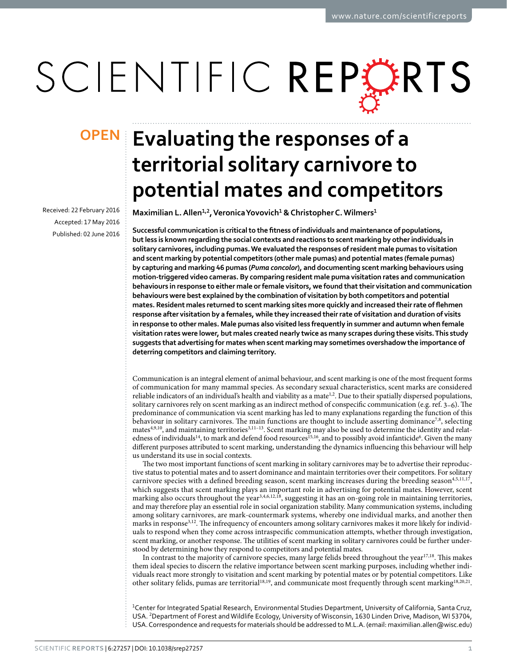# SCIENTIFIC REPERTS

Received: 22 February 2016 accepted: 17 May 2016 Published: 02 June 2016

## **Evaluating the responses of a OPENterritorial solitary carnivore to potential mates and competitors**

**Maximilian L.Allen<sup>1</sup>,<sup>2</sup>, VeronicaYovovich<sup>1</sup> & ChristopherC.Wilmers<sup>1</sup>**

**Successful communication is critical to the fitness of individuals and maintenance of populations, but less is known regarding the social contexts and reactions to scent marking by other individuals in solitary carnivores, including pumas. We evaluated the responses of resident male pumas to visitation and scent marking by potential competitors (other male pumas) and potential mates (female pumas) by capturing and marking 46 pumas (***Puma concolor***), and documenting scent marking behaviours using motion-triggered video cameras. By comparing resident male puma visitation rates and communication behaviours in response to either male or female visitors, we found that their visitation and communication behaviours were best explained by the combination of visitation by both competitors and potential mates. Resident males returned to scent marking sites more quickly and increased their rate of flehmen response after visitation by a females, while they increased their rate of visitation and duration of visits in response to other males. Male pumas also visited less frequently in summer and autumn when female visitation rates were lower, but males created nearly twice as many scrapes during these visits. This study suggests that advertising for mates when scent marking may sometimes overshadow the importance of deterring competitors and claiming territory.**

Communication is an integral element of animal behaviour, and scent marking is one of the most frequent forms of communication for many mammal species. As secondary sexual characteristics, scent marks are considered reliable indicators of an individual's health and viability as a mate<sup>1,[2](#page-7-1)</sup>. Due to their spatially dispersed populations, solitary carnivores rely on scent marking as an indirect method of conspecific communication (e.g. ref. [3–6](#page-7-2)). The predominance of communication via scent marking has led to many explanations regarding the function of this behaviour in solitary carnivores. The main functions are thought to include asserting dominance<sup>[7](#page-7-3)[,8](#page-7-4)</sup>, selecting mates<sup>[4](#page-7-5),[9,](#page-7-6)[10](#page-7-7)</sup>, and maintaining territories<sup>3,11-13</sup>. Scent marking may also be used to determine the identity and relat-edness of individuals<sup>[14](#page-7-9)</sup>, to mark and defend food resources<sup>[15](#page-7-10),[16](#page-7-11)</sup>, and to possibly avoid infanticide<sup>6</sup>. Given the many different purposes attributed to scent marking, understanding the dynamics influencing this behaviour will help us understand its use in social contexts.

The two most important functions of scent marking in solitary carnivores may be to advertise their reproductive status to potential mates and to assert dominance and maintain territories over their competitors. For solitary carnivore species with a defined breeding season, scent marking increases during the breeding season<sup>[4](#page-7-5)[,5](#page-7-13),[11](#page-7-8),17</sup>, which suggests that scent marking plays an important role in advertising for potential mates. However, scent marking also occurs throughout the year<sup>[3,](#page-7-2)[4](#page-7-5)[,6](#page-7-12),[12](#page-7-15),[18](#page-7-16)</sup>, suggesting it has an on-going role in maintaining territories, and may therefore play an essential role in social organization stability. Many communication systems, including among solitary carnivores, are mark-countermark systems, whereby one individual marks, and another then marks in response[3](#page-7-2),[12](#page-7-15). The infrequency of encounters among solitary carnivores makes it more likely for individuals to respond when they come across intraspecific communication attempts, whether through investigation, scent marking, or another response. The utilities of scent marking in solitary carnivores could be further understood by determining how they respond to competitors and potential mates.

In contrast to the majority of carnivore species, many large felids breed throughout the year<sup>17[,18](#page-7-16)</sup>. This makes them ideal species to discern the relative importance between scent marking purposes, including whether individuals react more strongly to visitation and scent marking by potential mates or by potential competitors. Like other solitary felids, pumas are territorial<sup>[18](#page-7-16),19</sup>, and communicate most frequently through scent marking<sup>18,[20,](#page-7-18)21</sup>.

<sup>1</sup>Center for Integrated Spatial Research, Environmental Studies Department, University of California, Santa Cruz, USA. <sup>2</sup>Department of Forest and Wildlife Ecology, University of Wisconsin, 1630 Linden Drive, Madison, WI 53704, USA. Correspondence and requests for materials should be addressed to M.L.A. (email: [maximilian.allen@wisc.edu](mailto:maximilian.allen@wisc.edu))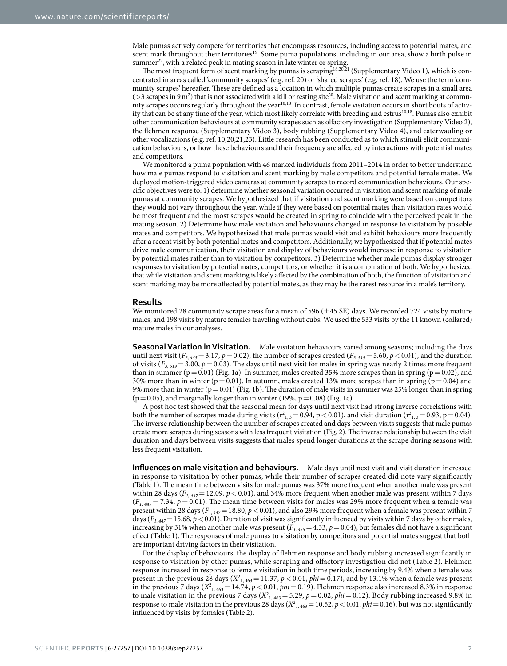Male pumas actively compete for territories that encompass resources, including access to potential mates, and scent mark throughout their territories<sup>[19](#page-7-17)</sup>. Some puma populations, including in our area, show a birth pulse in  $\text{summer}^{22}$  $\text{summer}^{22}$  $\text{summer}^{22}$ , with a related peak in mating season in late winter or spring.

The most frequent form of scent marking by pumas is scraping<sup>18,[20,](#page-7-18)21</sup> (Supplementary Video 1), which is concentrated in areas called 'community scrapes' (e.g. ref. [20](#page-7-18)) or 'shared scrapes' (e.g. ref. [18\)](#page-7-16). We use the term 'community scrapes' hereafter. These are defined as a location in which multiple pumas create scrapes in a small area  $(\geq)$  scrapes in 9 m<sup>2</sup>) that is not associated with a kill or resting site<sup>20</sup>. Male visitation and scent marking at community scrapes occurs regularly throughout the year[10](#page-7-7)[,18](#page-7-16). In contrast, female visitation occurs in short bouts of activ-ity that can be at any time of the year, which most likely correlate with breeding and estrus<sup>[10](#page-7-7),[18](#page-7-16)</sup>. Pumas also exhibit other communication behaviours at community scrapes such as olfactory investigation (Supplementary Video 2), the flehmen response (Supplementary Video 3), body rubbing (Supplementary Video 4), and caterwauling or other vocalizations (e.g. ref. [10](#page-7-7)[,20](#page-7-18)[,21,](#page-7-19)[23](#page-7-21)). Little research has been conducted as to which stimuli elicit communication behaviours, or how these behaviours and their frequency are affected by interactions with potential mates and competitors.

We monitored a puma population with 46 marked individuals from 2011–2014 in order to better understand how male pumas respond to visitation and scent marking by male competitors and potential female mates. We deployed motion-triggered video cameras at community scrapes to record communication behaviours. Our specific objectives were to: 1) determine whether seasonal variation occurred in visitation and scent marking of male pumas at community scrapes. We hypothesized that if visitation and scent marking were based on competitors they would not vary throughout the year, while if they were based on potential mates than visitation rates would be most frequent and the most scrapes would be created in spring to coincide with the perceived peak in the mating season. 2) Determine how male visitation and behaviours changed in response to visitation by possible mates and competitors. We hypothesized that male pumas would visit and exhibit behaviours more frequently after a recent visit by both potential mates and competitors. Additionally, we hypothesized that if potential mates drive male communication, their visitation and display of behaviours would increase in response to visitation by potential mates rather than to visitation by competitors. 3) Determine whether male pumas display stronger responses to visitation by potential mates, competitors, or whether it is a combination of both. We hypothesized that while visitation and scent marking is likely affected by the combination of both, the function of visitation and scent marking may be more affected by potential mates, as they may be the rarest resource in a male's territory.

#### **Results**

We monitored 28 community scrape areas for a mean of 596 ( $\pm$ 45 SE) days. We recorded 724 visits by mature males, and 198 visits by mature females traveling without cubs. We used the 533 visits by the 11 known (collared) mature males in our analyses.

**Seasonal Variation in Visitation.** Male visitation behaviours varied among seasons; including the days until next visit  $(F_{3, 445} = 3.17, p = 0.02)$ , the number of scrapes created  $(F_{3, 519} = 5.60, p < 0.01)$ , and the duration of visits  $(F_{3, 519} = 3.00, p = 0.03)$ . The days until next visit for males in spring was nearly 2 times more frequent than in summer ( $p = 0.01$ ) [\(Fig. 1a](#page-2-0)). In summer, males created 35% more scrapes than in spring ( $p = 0.02$ ), and 30% more than in winter ( $p = 0.01$ ). In autumn, males created 13% more scrapes than in spring ( $p = 0.04$ ) and 9% more than in winter ( $p= 0.01$ ) ([Fig. 1b\)](#page-2-0). The duration of male visits in summer was 25% longer than in spring  $(p=0.05)$ , and marginally longer than in winter (19%,  $p=0.08$ ) [\(Fig. 1c\)](#page-2-0).

A post hoc test showed that the seasonal mean for days until next visit had strong inverse correlations with both the number of scrapes made during visits ( $r^2_{1,3}$  = 0.94, p < 0.01), and visit duration ( $r^2_{1,3}$  = 0.93, p = 0.04). The inverse relationship between the number of scrapes created and days between visits suggests that male pumas create more scrapes during seasons with less frequent visitation ([Fig. 2](#page-3-0)). The inverse relationship between the visit duration and days between visits suggests that males spend longer durations at the scrape during seasons with less frequent visitation.

**Influences on male visitation and behaviours.** Male days until next visit and visit duration increased in response to visitation by other pumas, while their number of scrapes created did note vary significantly ([Table 1](#page-3-1)). The mean time between visits for male pumas was 37% more frequent when another male was present within 28 days ( $F_{1,447}$  = 12.09,  $p$  < 0.01), and 34% more frequent when another male was present within 7 days  $(F<sub>1,447</sub> = 7.34, p = 0.01)$ . The mean time between visits for males was 29% more frequent when a female was present within 28 days ( $F_{1, 447}$  = 18.80,  $p$  < 0.01), and also 29% more frequent when a female was present within 7 days ( $F_{1,447}$  = 15.68,  $p$  < 0.01). Duration of visit was significantly influenced by visits within 7 days by other males, increasing by 31% when another male was present  $(F_{1, 455} = 4.33, p = 0.04)$ , but females did not have a significant effect [\(Table 1\)](#page-3-1). The responses of male pumas to visitation by competitors and potential mates suggest that both are important driving factors in their visitation.

For the display of behaviours, the display of flehmen response and body rubbing increased significantly in response to visitation by other pumas, while scraping and olfactory investigation did not ([Table 2\)](#page-4-0). Flehmen response increased in response to female visitation in both time periods, increasing by 9.4% when a female was present in the previous 28 days  $(X_{1, 463}^2 = 11.37, p < 0.01, phi = 0.17)$ , and by 13.1% when a female was present in the previous 7 days ( $X^2_{1,463}$  = 14.74,  $p$  < 0.01,  $phi$  = 0.19). Flehmen response also increased 8.3% in response to male visitation in the previous 7 days ( $X_{1,463} = 5.29$ ,  $p = 0.02$ ,  $phi = 0.12$ ). Body rubbing increased 9.8% in response to male visitation in the previous 28 days ( $X^2_{1,463}$  = 10.52,  $p$  < 0.01,  $phi = 0.16$ ), but was not significantly influenced by visits by females [\(Table 2\)](#page-4-0).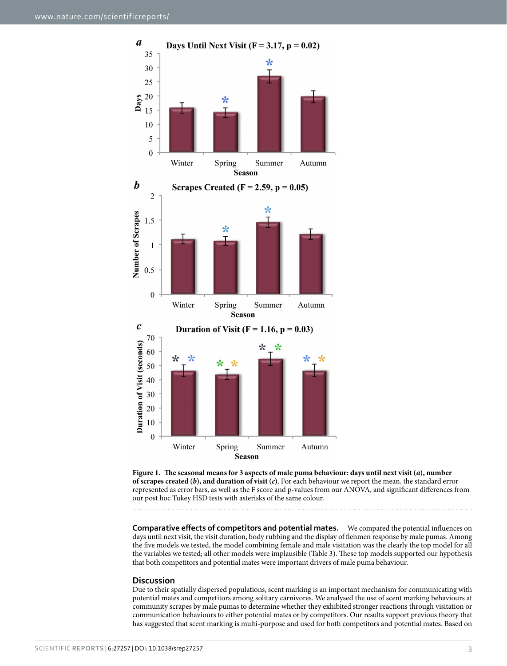

<span id="page-2-0"></span>**Figure 1. The seasonal means for 3 aspects of male puma behaviour: days until next visit (***a***), number of scrapes created (***b***), and duration of visit (***c***)**. For each behaviour we report the mean, the standard error represented as error bars, as well as the F score and p-values from our ANOVA, and significant differences from our post hoc Tukey HSD tests with asterisks of the same colour.

**Comparative effects of competitors and potential mates.** We compared the potential influences on days until next visit, the visit duration, body rubbing and the display of flehmen response by male pumas. Among the five models we tested, the model combining female and male visitation was the clearly the top model for all the variables we tested; all other models were implausible [\(Table 3](#page-4-1)). These top models supported our hypothesis that both competitors and potential mates were important drivers of male puma behaviour.

#### **Discussion**

Due to their spatially dispersed populations, scent marking is an important mechanism for communicating with potential mates and competitors among solitary carnivores. We analysed the use of scent marking behaviours at community scrapes by male pumas to determine whether they exhibited stronger reactions through visitation or communication behaviours to either potential mates or by competitors. Our results support previous theory that has suggested that scent marking is multi-purpose and used for both competitors and potential mates. Based on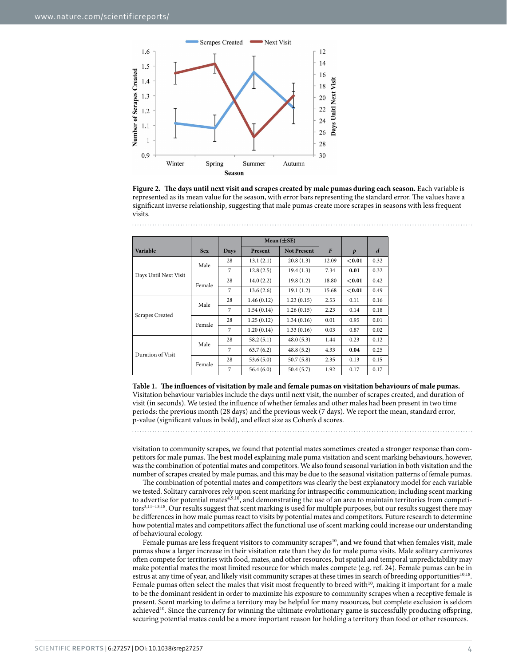

<span id="page-3-0"></span>**Figure 2. The days until next visit and scrapes created by male pumas during each season.** Each variable is represented as its mean value for the season, with error bars representing the standard error. The values have a significant inverse relationship, suggesting that male pumas create more scrapes in seasons with less frequent visits.

<span id="page-3-1"></span>

|                       |            |      | Mean $(\pm SE)$ |                    |                  |                  |                  |
|-----------------------|------------|------|-----------------|--------------------|------------------|------------------|------------------|
| Variable              | <b>Sex</b> | Days | Present         | <b>Not Present</b> | $\boldsymbol{F}$ | $\boldsymbol{p}$ | $\boldsymbol{d}$ |
| Days Until Next Visit | Male       | 28   | 13.1(2.1)       | 20.8(1.3)          | 12.09            | ${<}0.01$        | 0.32             |
|                       |            | 7    | 12.8(2.5)       | 19.4(1.3)          | 7.34             | 0.01             | 0.32             |
|                       | Female     | 28   | 14.0(2.2)       | 19.8(1.2)          | 18.80            | ${<}0.01$        | 0.42             |
|                       |            | 7    | 13.6(2.6)       | 19.1(1.2)          | 15.68            | ${<}0.01$        | 0.49             |
| Scrapes Created       | Male       | 28   | 1.46(0.12)      | 1.23(0.15)         | 2.53             | 0.11             | 0.16             |
|                       |            | 7    | 1.54(0.14)      | 1.26(0.15)         | 2.23             | 0.14             | 0.18             |
|                       | Female     | 28   | 1.25(0.12)      | 1.34(0.16)         | 0.01             | 0.95             | 0.01             |
|                       |            | 7    | 1.20(0.14)      | 1.33(0.16)         | 0.03             | 0.87             | 0.02             |
| Duration of Visit     | Male       | 28   | 58.2(5.1)       | 48.0(5.3)          | 1.44             | 0.23             | 0.12             |
|                       |            | 7    | 63.7(6.2)       | 48.8(5.2)          | 4.33             | 0.04             | 0.25             |
|                       | Female     | 28   | 53.6(5.0)       | 50.7(5.8)          | 2.35             | 0.13             | 0.15             |
|                       |            | 7    | 56.4(6.0)       | 50.4(5.7)          | 1.92             | 0.17             | 0.17             |

**Table 1. The influences of visitation by male and female pumas on visitation behaviours of male pumas.** Visitation behaviour variables include the days until next visit, the number of scrapes created, and duration of visit (in seconds). We tested the influence of whether females and other males had been present in two time periods: the previous month (28 days) and the previous week (7 days). We report the mean, standard error, p-value (significant values in bold), and effect size as Cohen's d scores.

visitation to community scrapes, we found that potential mates sometimes created a stronger response than competitors for male pumas. The best model explaining male puma visitation and scent marking behaviours, however, was the combination of potential mates and competitors. We also found seasonal variation in both visitation and the number of scrapes created by male pumas, and this may be due to the seasonal visitation patterns of female pumas.

The combination of potential mates and competitors was clearly the best explanatory model for each variable we tested. Solitary carnivores rely upon scent marking for intraspecific communication; including scent marking to advertise for potential mates $4,9,10$  $4,9,10$  $4,9,10$  $4,9,10$ , and demonstrating the use of an area to maintain territories from competi-tors<sup>3,11-13,[18](#page-7-16)</sup>. Our results suggest that scent marking is used for multiple purposes, but our results suggest there may be differences in how male pumas react to visits by potential mates and competitors. Future research to determine how potential mates and competitors affect the functional use of scent marking could increase our understanding of behavioural ecology.

Female pumas are less frequent visitors to community scrapes<sup>10</sup>, and we found that when females visit, male pumas show a larger increase in their visitation rate than they do for male puma visits. Male solitary carnivores often compete for territories with food, mates, and other resources, but spatial and temporal unpredictability may make potential mates the most limited resource for which males compete (e.g. ref. [24\)](#page-7-22). Female pumas can be in estrus at any time of year, and likely visit community scrapes at these times in search of breeding opportunities<sup>10,18</sup>. Female pumas often select the males that visit most frequently to breed with $10$ , making it important for a male to be the dominant resident in order to maximize his exposure to community scrapes when a receptive female is present. Scent marking to define a territory may be helpful for many resources, but complete exclusion is seldom achieved[10](#page-7-7). Since the currency for winning the ultimate evolutionary game is successfully producing offspring, securing potential mates could be a more important reason for holding a territory than food or other resources.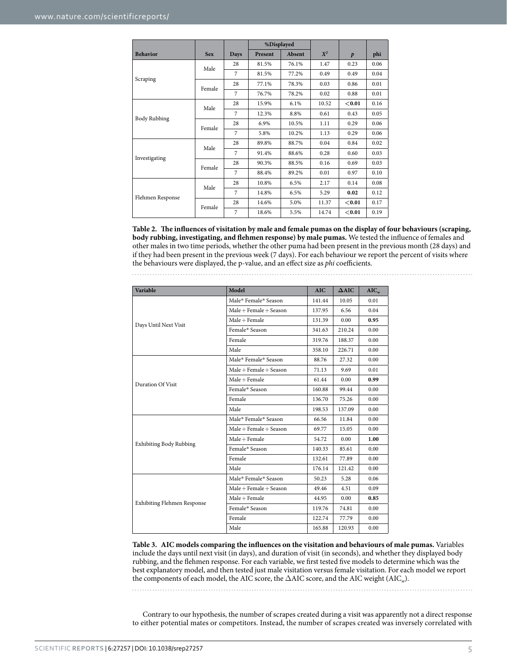<span id="page-4-0"></span>

|                     |            |      | %Displayed     |        |       |                  |      |
|---------------------|------------|------|----------------|--------|-------|------------------|------|
| <b>Behavior</b>     | <b>Sex</b> | Days | <b>Present</b> | Absent | $X^2$ | $\boldsymbol{p}$ | phi  |
| Scraping            | Male       | 28   | 81.5%          | 76.1%  | 1.47  | 0.23             | 0.06 |
|                     |            | 7    | 81.5%          | 77.2%  | 0.49  | 0.49             | 0.04 |
|                     | Female     | 28   | 77.1%          | 78.3%  | 0.03  | 0.86             | 0.01 |
|                     |            | 7    | 76.7%          | 78.2%  | 0.02  | 0.88             | 0.01 |
| <b>Body Rubbing</b> | Male       | 28   | 15.9%          | 6.1%   | 10.52 | < 0.01           | 0.16 |
|                     |            | 7    | 12.3%          | 8.8%   | 0.61  | 0.43             | 0.05 |
|                     | Female     | 28   | 6.9%           | 10.5%  | 1.11  | 0.29             | 0.06 |
|                     |            | 7    | 5.8%           | 10.2%  | 1.13  | 0.29             | 0.06 |
| Investigating       | Male       | 28   | 89.8%          | 88.7%  | 0.04  | 0.84             | 0.02 |
|                     |            | 7    | 91.4%          | 88.6%  | 0.28  | 0.60             | 0.03 |
|                     | Female     | 28   | 90.3%          | 88.5%  | 0.16  | 0.69             | 0.03 |
|                     |            | 7    | 88.4%          | 89.2%  | 0.01  | 0.97             | 0.10 |
| Flehmen Response    | Male       | 28   | 10.8%          | 6.5%   | 2.17  | 0.14             | 0.08 |
|                     |            | 7    | 14.8%          | 6.5%   | 5.29  | 0.02             | 0.12 |
|                     | Female     | 28   | 14.6%          | 5.0%   | 11.37 | < 0.01           | 0.17 |
|                     |            | 7    | 18.6%          | 5.5%   | 14.74 | < 0.01           | 0.19 |

**Table 2. The influences of visitation by male and female pumas on the display of four behaviours (scraping, body rubbing, investigating, and flehmen response) by male pumas.** We tested the influence of females and other males in two time periods, whether the other puma had been present in the previous month (28 days) and if they had been present in the previous week (7 days). For each behaviour we report the percent of visits where the behaviours were displayed, the p-value, and an effect size as *phi* coefficients.

<span id="page-4-1"></span>

| Variable                           | Model                    | <b>AIC</b> | $\triangle$ AIC | $AIC_w$ |
|------------------------------------|--------------------------|------------|-----------------|---------|
|                                    | Male* Female* Season     | 141.44     | 10.05           | 0.01    |
|                                    | $Male + Female + Season$ | 137.95     | 6.56            | 0.04    |
| Days Until Next Visit              | $Male + Female$          | 131.39     | 0.00            | 0.95    |
|                                    | Female* Season           | 341.63     | 210.24          | 0.00    |
|                                    | Female                   | 319.76     | 188.37          | 0.00    |
|                                    | Male                     | 358.10     | 226.71          | 0.00    |
|                                    | Male* Female* Season     | 88.76      | 27.32           | 0.00    |
|                                    | $Male + Female + Season$ | 71.13      | 9.69            | 0.01    |
| Duration Of Visit                  | $Male + Female$          | 61.44      | 0.00            | 0.99    |
|                                    | Female* Season           | 160.88     | 99.44           | 0.00    |
|                                    | Female                   | 136.70     | 75.26           | 0.00    |
|                                    | Male                     | 198.53     | 137.09          | 0.00    |
|                                    | Male* Female* Season     | 66.56      | 11.84           | 0.00    |
|                                    | $Male + Female + Season$ | 69.77      | 15.05           | 0.00    |
| <b>Exhibiting Body Rubbing</b>     | $Male + Female$          | 54.72      | 0.00            | 1.00    |
|                                    | Female* Season           | 140.33     | 85.61           | 0.00    |
|                                    | Female                   | 132.61     | 77.89           | 0.00    |
|                                    | Male                     | 176.14     | 121.42          | 0.00    |
|                                    | Male* Female* Season     | 50.23      | 5.28            | 0.06    |
|                                    | $Male + Female + Season$ | 49.46      | 4.51            | 0.09    |
|                                    | $Male + Female$          | 44.95      | 0.00            | 0.85    |
| <b>Exhibiting Flehmen Response</b> | Female* Season           | 119.76     | 74.81           | 0.00    |
|                                    | Female                   | 122.74     | 77.79           | 0.00    |
|                                    | Male                     | 165.88     | 120.93          | 0.00    |

**Table 3. AIC models comparing the influences on the visitation and behaviours of male pumas.** Variables include the days until next visit (in days), and duration of visit (in seconds), and whether they displayed body rubbing, and the flehmen response. For each variable, we first tested five models to determine which was the best explanatory model, and then tested just male visitation versus female visitation. For each model we report the components of each model, the AIC score, the ΔAIC score, and the AIC weight (AIC*w*).

Contrary to our hypothesis, the number of scrapes created during a visit was apparently not a direct response to either potential mates or competitors. Instead, the number of scrapes created was inversely correlated with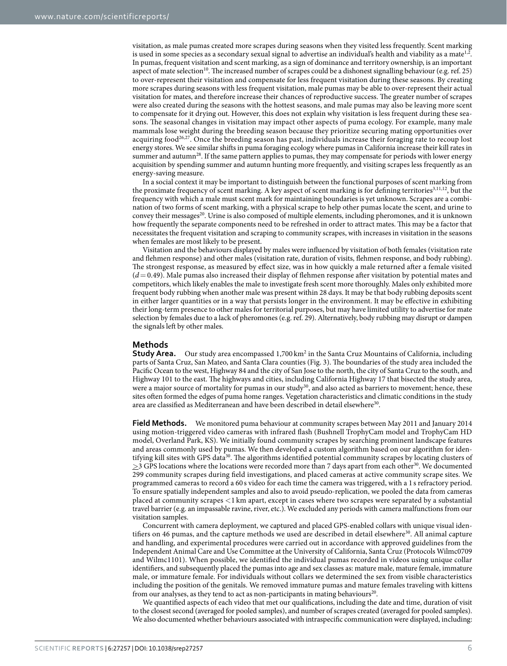visitation, as male pumas created more scrapes during seasons when they visited less frequently. Scent marking is used in some species as a secondary sexual signal to advertise an individual's health and viability as a mate<sup>[1](#page-7-0),2</sup>. In pumas, frequent visitation and scent marking, as a sign of dominance and territory ownership, is an important aspect of mate selection<sup>10</sup>. The increased number of scrapes could be a dishonest signalling behaviour (e.g. ref. [25\)](#page-7-23) to over-represent their visitation and compensate for less frequent visitation during these seasons. By creating more scrapes during seasons with less frequent visitation, male pumas may be able to over-represent their actual visitation for mates, and therefore increase their chances of reproductive success. The greater number of scrapes were also created during the seasons with the hottest seasons, and male pumas may also be leaving more scent to compensate for it drying out. However, this does not explain why visitation is less frequent during these seasons. The seasonal changes in visitation may impact other aspects of puma ecology. For example, many male mammals lose weight during the breeding season because they prioritize securing mating opportunities over acquiring food<sup>26[,27](#page-7-25)</sup>. Once the breeding season has past, individuals increase their foraging rate to recoup lost energy stores. We see similar shifts in puma foraging ecology where pumas in California increase their kill rates in summer and autumn<sup>[28](#page-7-26)</sup>. If the same pattern applies to pumas, they may compensate for periods with lower energy acquisition by spending summer and autumn hunting more frequently, and visiting scrapes less frequently as an energy-saving measure.

In a social context it may be important to distinguish between the functional purposes of scent marking from the proximate frequency of scent marking. A key aspect of scent marking is for defining territories<sup>3,[11](#page-7-8),[12](#page-7-15)</sup>, but the frequency with which a male must scent mark for maintaining boundaries is yet unknown. Scrapes are a combination of two forms of scent marking, with a physical scrape to help other pumas locate the scent, and urine to convey their messages<sup>[20](#page-7-18)</sup>. Urine is also composed of multiple elements, including pheromones, and it is unknown how frequently the separate components need to be refreshed in order to attract mates. This may be a factor that necessitates the frequent visitation and scraping to community scrapes, with increases in visitation in the seasons when females are most likely to be present.

Visitation and the behaviours displayed by males were influenced by visitation of both females (visitation rate and flehmen response) and other males (visitation rate, duration of visits, flehmen response, and body rubbing). The strongest response, as measured by effect size, was in how quickly a male returned after a female visited (*d*= 0.49). Male pumas also increased their display of flehmen response after visitation by potential mates and competitors, which likely enables the male to investigate fresh scent more thoroughly. Males only exhibited more frequent body rubbing when another male was present within 28 days. It may be that body rubbing deposits scent in either larger quantities or in a way that persists longer in the environment. It may be effective in exhibiting their long-term presence to other males for territorial purposes, but may have limited utility to advertise for mate selection by females due to a lack of pheromones (e.g. ref. [29](#page-7-27)). Alternatively, body rubbing may disrupt or dampen the signals left by other males.

#### **Methods**

**Study Area.** Our study area encompassed 1,700 km<sup>2</sup> in the Santa Cruz Mountains of California, including parts of Santa Cruz, San Mateo, and Santa Clara counties [\(Fig. 3\)](#page-6-0). The boundaries of the study area included the Pacific Ocean to the west, Highway 84 and the city of San Jose to the north, the city of Santa Cruz to the south, and Highway 101 to the east. The highways and cities, including California Highway 17 that bisected the study area, were a major source of mortality for pumas in our study<sup>[30](#page-7-28)</sup>, and also acted as barriers to movement; hence, these sites often formed the edges of puma home ranges. Vegetation characteristics and climatic conditions in the study area are classified as Mediterranean and have been described in detail elsewhere<sup>30</sup>.

**Field Methods.** We monitored puma behaviour at community scrapes between May 2011 and January 2014 using motion-triggered video cameras with infrared flash (Bushnell TrophyCam model and TrophyCam HD model, Overland Park, KS). We initially found community scrapes by searching prominent landscape features and areas commonly used by pumas. We then developed a custom algorithm based on our algorithm for identifying kill sites with GPS data<sup>30</sup>. The algorithms identified potential community scrapes by locating clusters of  $\geq$ 3 GPS locations where the locations were recorded more than 7 days apart from each other<sup>30</sup>. We documented 299 community scrapes during field investigations, and placed cameras at active community scrape sites. We programmed cameras to record a 60 s video for each time the camera was triggered, with a 1 s refractory period. To ensure spatially independent samples and also to avoid pseudo-replication, we pooled the data from cameras placed at community scrapes <1 km apart, except in cases where two scrapes were separated by a substantial travel barrier (e.g. an impassable ravine, river, etc.). We excluded any periods with camera malfunctions from our visitation samples.

Concurrent with camera deployment, we captured and placed GPS-enabled collars with unique visual identifiers on 46 pumas, and the capture methods we used are described in detail elsewhere<sup>30</sup>. All animal capture and handling, and experimental procedures were carried out in accordance with approved guidelines from the Independent Animal Care and Use Committee at the University of California, Santa Cruz (Protocols Wilmc0709 and Wilmc1101). When possible, we identified the individual pumas recorded in videos using unique collar identifiers, and subsequently placed the pumas into age and sex classes as: mature male, mature female, immature male, or immature female. For individuals without collars we determined the sex from visible characteristics including the position of the genitals. We removed immature pumas and mature females traveling with kittens from our analyses, as they tend to act as non-participants in mating behaviours<sup>20</sup>.

We quantified aspects of each video that met our qualifications, including the date and time, duration of visit to the closest second (averaged for pooled samples), and number of scrapes created (averaged for pooled samples). We also documented whether behaviours associated with intraspecific communication were displayed, including: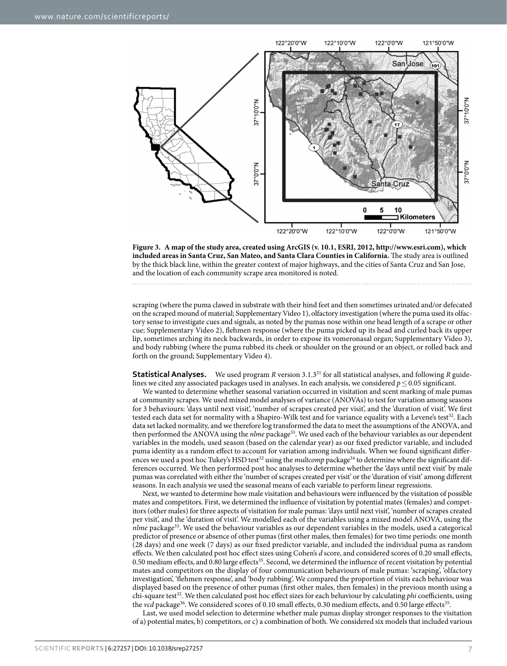

<span id="page-6-0"></span>

scraping (where the puma clawed in substrate with their hind feet and then sometimes urinated and/or defecated on the scraped mound of material; Supplementary Video 1), olfactory investigation (where the puma used its olfactory sense to investigate cues and signals, as noted by the pumas nose within one head length of a scrape or other cue; Supplementary Video 2), flehmen response (where the puma picked up its head and curled back its upper lip, sometimes arching its neck backwards, in order to expose its vomeronasal organ; Supplementary Video 3), and body rubbing (where the puma rubbed its cheek or shoulder on the ground or an object, or rolled back and forth on the ground; Supplementary Video 4).

**Statistical Analyses.** We used program *R* version 3.1.3<sup>31</sup> for all statistical analyses, and following *R* guidelines we cited any associated packages used in analyses. In each analysis, we considered *p*≤0.05 significant.

We wanted to determine whether seasonal variation occurred in visitation and scent marking of male pumas at community scrapes. We used mixed model analyses of variance (ANOVAs) to test for variation among seasons for 3 behaviours: 'days until next visit', 'number of scrapes created per visit', and the 'duration of visit'. We first tested each data set for normality with a Shapiro-Wilk test and for variance equality with a Levene's test<sup>32</sup>. Each data set lacked normality, and we therefore log transformed the data to meet the assumptions of the ANOVA, and then performed the ANOVA using the *nlme* package<sup>33</sup>. We used each of the behaviour variables as our dependent variables in the models, used season (based on the calendar year) as our fixed predictor variable, and included puma identity as a random effect to account for variation among individuals. When we found significant differences we used a post hoc Tukey's HSD test<sup>32</sup> using the *multcomp* package<sup>34</sup> to determine where the significant differences occurred. We then performed post hoc analyses to determine whether the 'days until next visit' by male pumas was correlated with either the 'number of scrapes created per visit' or the 'duration of visit' among different seasons. In each analysis we used the seasonal means of each variable to perform linear regressions.

Next, we wanted to determine how male visitation and behaviours were influenced by the visitation of possible mates and competitors. First, we determined the influence of visitation by potential mates (females) and competitors (other males) for three aspects of visitation for male pumas: 'days until next visit', 'number of scrapes created per visit', and the 'duration of visit'. We modelled each of the variables using a mixed model ANOVA, using the *nlme* package<sup>33</sup>. We used the behaviour variables as our dependent variables in the models, used a categorical predictor of presence or absence of other pumas (first other males, then females) for two time periods: one month (28 days) and one week (7 days) as our fixed predictor variable, and included the individual puma as random effects. We then calculated post hoc effect sizes using Cohen's *d* score, and considered scores of 0.20 small effects, 0.50 medium effects, and 0.80 large effects<sup>[35](#page-7-33)</sup>. Second, we determined the influence of recent visitation by potential mates and competitors on the display of four communication behaviours of male pumas: 'scraping', 'olfactory investigation', 'flehmen response', and 'body rubbing'. We compared the proportion of visits each behaviour was displayed based on the presence of other pumas (first other males, then females) in the previous month using a chi-square test<sup>[32](#page-7-30)</sup>. We then calculated post hoc effect sizes for each behaviour by calculating *phi* coefficients, using the *vcd* package<sup>36</sup>. We considered scores of 0.10 small effects, 0.30 medium effects, and 0.50 large effects<sup>35</sup>.

Last, we used model selection to determine whether male pumas display stronger responses to the visitation of a) potential mates, b) competitors, or c) a combination of both. We considered six models that included various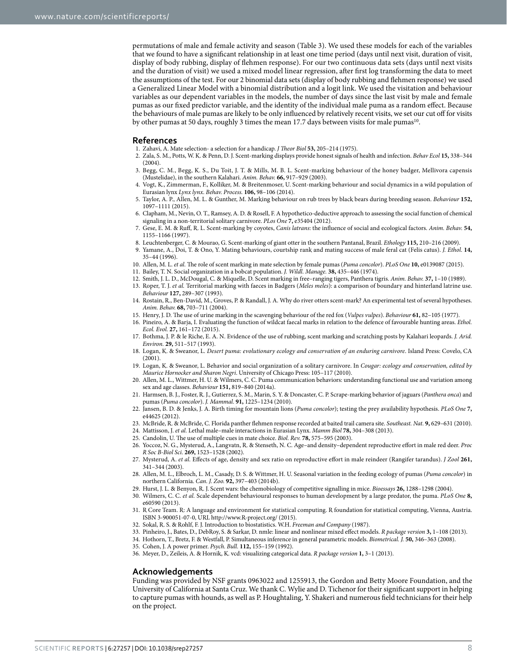permutations of male and female activity and season [\(Table 3](#page-4-1)). We used these models for each of the variables that we found to have a significant relationship in at least one time period (days until next visit, duration of visit, display of body rubbing, display of flehmen response). For our two continuous data sets (days until next visits and the duration of visit) we used a mixed model linear regression, after first log transforming the data to meet the assumptions of the test. For our 2 binomial data sets (display of body rubbing and flehmen response) we used a Generalized Linear Model with a binomial distribution and a logit link. We used the visitation and behaviour variables as our dependent variables in the models, the number of days since the last visit by male and female pumas as our fixed predictor variable, and the identity of the individual male puma as a random effect. Because the behaviours of male pumas are likely to be only influenced by relatively recent visits, we set our cut off for visits by other pumas at 50 days, roughly 3 times the mean 17.7 days between visits for male pumas<sup>10</sup>.

#### <span id="page-7-0"></span>**References**

- <span id="page-7-2"></span><span id="page-7-1"></span>1. Zahavi, A. Mate selection- a selection for a handicap. *J Theor Biol* **53,** 205–214 (1975).
	- 2. Zala, S. M., Potts, W. K. & Penn, D. J. Scent-marking displays provide honest signals of health and infection. *Behav Ecol* **15,** 338–344 (2004).
	- 3. Begg, C. M., Begg, K. S., Du Toit, J. T. & Mills, M. B. L. Scent-marking behaviour of the honey badger, Mellivora capensis (Mustelidae), in the southern Kalahari. *Anim. Behav.* **66,** 917–929 (2003).
	- 4. Vogt, K., Zimmerman, F., Kolliker, M. & Breitenmoser, U. Scent-marking behaviour and social dynamics in a wild population of Eurasian lynx *Lynx lynx*. *Behav. Process.* **106,** 98–106 (2014).
	- 5. Taylor, A. P., Allen, M. L. & Gunther, M. Marking behaviour on rub trees by black bears during breeding season. *Behaviour* **152,** 1097–1111 (2015).
- <span id="page-7-13"></span><span id="page-7-12"></span><span id="page-7-5"></span>6. Clapham, M., Nevin, O. T., Ramsey, A. D. & Rosell, F. A hypothetico-deductive approach to assessing the social function of chemical signaling in a non-territorial solitary carnivore. *PLos One* **7,** e35404 (2012).
- <span id="page-7-3"></span>7. Gese, E. M. & Ruff, R. L. Scent-marking by coyotes, *Canis latrans*: the influence of social and ecological factors. *Anim. Behav.* **54,** 1155–1166 (1997).
- <span id="page-7-4"></span>8. Leuchtenberger, C. & Mourao, G. Scent-marking of giant otter in the southern Pantanal, Brazil. *Ethology* **115,** 210–216 (2009).
- <span id="page-7-6"></span>9. Yamane, A., Doi, T. & Ono, Y. Mating behaviours, courtship rank and mating success of male feral cat (Felis catus). *J. Ethol.* **14,** 35–44 (1996).
- <span id="page-7-8"></span><span id="page-7-7"></span>10. Allen, M. L. *et al.* The role of scent marking in mate selection by female pumas (*Puma concolor*). *PLoS One* **10,** e0139087 (2015).
- 11. Bailey, T. N. Social organization in a bobcat population. *J. Wildl. Manage.* **38,** 435–446 (1974).
- <span id="page-7-15"></span>12. Smith, J. L. D., McDougal, C. & Miquelle, D. Scent marking in free–ranging tigers, Panthera tigris. *Anim. Behav.* **37,** 1–10 (1989).
- 13. Roper, T. J. *et al.* Territorial marking with faeces in Badgers (*Meles meles*): a comparison of boundary and hinterland latrine use. *Behaviour* **127,** 289–307 (1993).
- <span id="page-7-9"></span>14. Rostain, R., Ben-David, M., Groves, P. & Randall, J. A. Why do river otters scent-mark? An experimental test of several hypotheses. *Anim. Behav.* **68,** 703–711 (2004).
- 15. Henry, J. D. The use of urine marking in the scavenging behaviour of the red fox (*Vulpes vulpes*). *Behaviour* **61,** 82–105 (1977).
- <span id="page-7-11"></span><span id="page-7-10"></span>16. Pineiro, A. & Barja, I. Evaluating the function of wildcat faecal marks in relation to the defence of favourable hunting areas. *Ethol. Ecol. Evol.* **27,** 161–172 (2015).
- <span id="page-7-14"></span>17. Bothma, J. P. & le Riche, E. A. N. Evidence of the use of rubbing, scent marking and scratching posts by Kalahari leopards. *J. Arid. Environ.* **29,** 511–517 (1993).
- <span id="page-7-16"></span>18. Logan, K. & Sweanor, L. *Desert puma: evolutionary ecology and conservation of an enduring carnivore*. Island Press: Covelo, CA (2001).
- <span id="page-7-17"></span>19. Logan, K. & Sweanor, L. Behavior and social organization of a solitary carnivore. In *Cougar: ecology and conservation, edited by Maurice Hornocker and Sharon Negri*. University of Chicago Press: 105–117 (2010).
- <span id="page-7-18"></span>20. Allen, M. L., Wittmer, H. U. & Wilmers, C. C. Puma communication behaviors: understanding functional use and variation among sex and age classes. *Behaviour* **151,** 819–840 (2014a).
- <span id="page-7-19"></span>21. Harmsen, B. J., Foster, R. J., Gutierrez, S. M., Marin, S. Y. & Doncaster, C. P. Scrape-marking behavior of jaguars (*Panthera onca*) and pumas (*Puma concolor*). *J. Mammal.* **91,** 1225–1234 (2010).
- <span id="page-7-20"></span>22. Jansen, B. D. & Jenks, J. A. Birth timing for mountain lions (*Puma concolor*); testing the prey availability hypothesis. *PLoS One* **7,** e44625 (2012).
- <span id="page-7-21"></span>23. McBride, R. & McBride, C. Florida panther flehmen response recorded at baited trail camera site. *Southeast. Nat.* **9,** 629–631 (2010).
- <span id="page-7-22"></span>24. Mattisson, J. *et al.* Lethal male–male interactions in Eurasian Lynx. *Mamm Biol* **78,** 304–308 (2013).
- <span id="page-7-23"></span>25. Candolin, U. The use of multiple cues in mate choice. *Biol. Rev.* **78,** 575–595 (2003).
- <span id="page-7-24"></span>26. Yoccoz, N. G., Mysterud, A., Langvatn, R. & Stenseth, N. C. Age–and density–dependent reproductive effort in male red deer. *Proc R Soc B-Biol Sci.* **269,** 1523–1528 (2002).
- <span id="page-7-25"></span>27. Mysterud, A. *et al.* Effects of age, density and sex ratio on reproductive effort in male reindeer (Rangifer tarandus). *J Zool* **261,** 341–344 (2003).
- <span id="page-7-26"></span>28. Allen, M. L., Elbroch, L. M., Casady, D. S. & Wittmer, H. U. Seasonal variation in the feeding ecology of pumas (*Puma concolor*) in northern California. *Can. J. Zoo.* **92,** 397–403 (2014b).
- <span id="page-7-27"></span>29. Hurst, J. L. & Benyon, R. J. Scent wars: the chemobiology of competitive signalling in mice. *Bioessays* **26,** 1288–1298 (2004).
- <span id="page-7-28"></span>30. Wilmers, C. C. *et al.* Scale dependent behavioural responses to human development by a large predator, the puma. *PLoS One* **8,** e60590 (2013).
- <span id="page-7-29"></span>31. R Core Team. R: A language and environment for statistical computing. R foundation for statistical computing, Vienna, Austria. ISBN 3-900051-07-0, URL [http://www.R-project.org/ \(](http://www.R-project.org/ )2015).
- <span id="page-7-31"></span><span id="page-7-30"></span>32. Sokal, R. S. & Rohlf, F. J. Introduction to biostatistics. W.H. *Freeman and Company* (1987).
- <span id="page-7-32"></span>33. Pinheiro, J., Bates, D., DebRoy, S. & Sarkar, D. nmle: linear and nonlinear mixed effect models. *R package version* **3,** 1–108 (2013).
- 34. Hothorn, T., Bretz, F. & Westfall, P. Simultaneous inference in general parametric models. *Biometrical. J.* **50,** 346–363 (2008).
- <span id="page-7-33"></span>35. Cohen, J. A power primer. *Psych. Bull.* **112,** 155–159 (1992).
- <span id="page-7-34"></span>36. Meyer, D., Zeileis, A. & Hornik, K. vcd: visualizing categorical data. *R package version* **1,** 3–1 (2013).

#### **Acknowledgements**

Funding was provided by NSF grants 0963022 and 1255913, the Gordon and Betty Moore Foundation, and the University of California at Santa Cruz. We thank C. Wylie and D. Tichenor for their significant support in helping to capture pumas with hounds, as well as P. Houghtaling, Y. Shakeri and numerous field technicians for their help on the project.